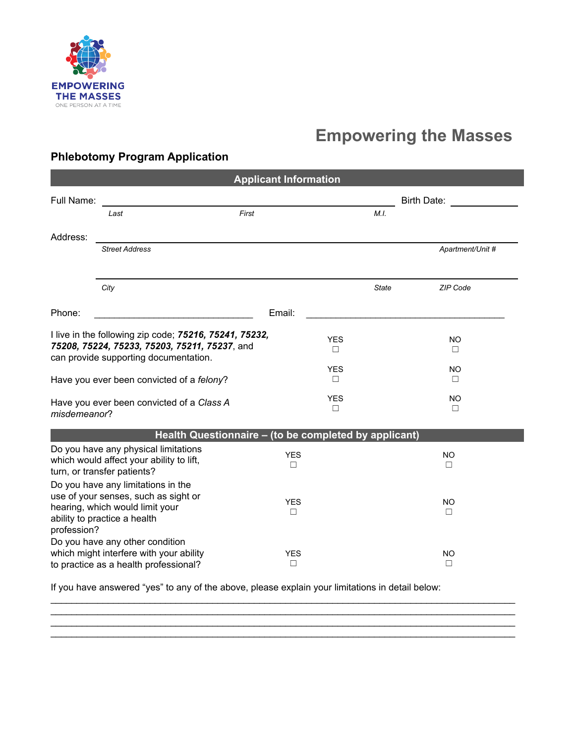

# **Empowering the Masses**

## **Phlebotomy Program Application**

| <b>Applicant Information</b>                                                                                                                                 |                                                                                                                     |                      |              |                  |  |
|--------------------------------------------------------------------------------------------------------------------------------------------------------------|---------------------------------------------------------------------------------------------------------------------|----------------------|--------------|------------------|--|
| Full Name:                                                                                                                                                   |                                                                                                                     |                      |              | Birth Date:      |  |
|                                                                                                                                                              | First<br>Last                                                                                                       |                      | M.I.         |                  |  |
| Address:                                                                                                                                                     |                                                                                                                     |                      |              |                  |  |
|                                                                                                                                                              | <b>Street Address</b>                                                                                               |                      |              | Apartment/Unit # |  |
|                                                                                                                                                              | City                                                                                                                |                      | <b>State</b> | <b>ZIP Code</b>  |  |
| Phone:                                                                                                                                                       |                                                                                                                     | Email:               |              |                  |  |
| I live in the following zip code; 75216, 75241, 75232,<br>75208, 75224, 75233, 75203, 75211, 75237, and<br>can provide supporting documentation.             |                                                                                                                     | <b>YES</b><br>$\Box$ |              | <b>NO</b><br>П   |  |
| Have you ever been convicted of a felony?                                                                                                                    |                                                                                                                     | <b>YES</b><br>$\Box$ |              | NO<br>П          |  |
| Have you ever been convicted of a Class A<br>misdemeanor?                                                                                                    |                                                                                                                     | <b>YES</b><br>$\Box$ |              | <b>NO</b><br>П.  |  |
|                                                                                                                                                              | Health Questionnaire - (to be completed by applicant)                                                               |                      |              |                  |  |
| Do you have any physical limitations<br>which would affect your ability to lift,<br>turn, or transfer patients?                                              |                                                                                                                     | <b>YES</b><br>$\Box$ |              | <b>NO</b><br>□   |  |
| Do you have any limitations in the<br>use of your senses, such as sight or<br>hearing, which would limit your<br>ability to practice a health<br>profession? |                                                                                                                     | <b>YES</b><br>□      |              | <b>NO</b><br>□   |  |
|                                                                                                                                                              | Do you have any other condition<br>which might interfere with your ability<br>to practice as a health professional? | <b>YES</b><br>$\Box$ |              | NO<br>$\Box$     |  |

If you have answered "yes" to any of the above, please explain your limitations in detail below:

\_\_\_\_\_\_\_\_\_\_\_\_\_\_\_\_\_\_\_\_\_\_\_\_\_\_\_\_\_\_\_\_\_\_\_\_\_\_\_\_\_\_\_\_\_\_\_\_\_\_\_\_\_\_\_\_\_\_\_\_\_\_\_\_\_\_\_\_\_\_\_\_\_\_\_\_\_\_\_\_\_\_\_\_\_\_\_\_\_ \_\_\_\_\_\_\_\_\_\_\_\_\_\_\_\_\_\_\_\_\_\_\_\_\_\_\_\_\_\_\_\_\_\_\_\_\_\_\_\_\_\_\_\_\_\_\_\_\_\_\_\_\_\_\_\_\_\_\_\_\_\_\_\_\_\_\_\_\_\_\_\_\_\_\_\_\_\_\_\_\_\_\_\_\_\_\_\_\_ \_\_\_\_\_\_\_\_\_\_\_\_\_\_\_\_\_\_\_\_\_\_\_\_\_\_\_\_\_\_\_\_\_\_\_\_\_\_\_\_\_\_\_\_\_\_\_\_\_\_\_\_\_\_\_\_\_\_\_\_\_\_\_\_\_\_\_\_\_\_\_\_\_\_\_\_\_\_\_\_\_\_\_\_\_\_\_\_\_  $\mathcal{L}_\text{max}$  , and the contribution of the contribution of the contribution of the contribution of the contribution of the contribution of the contribution of the contribution of the contribution of the contribution of t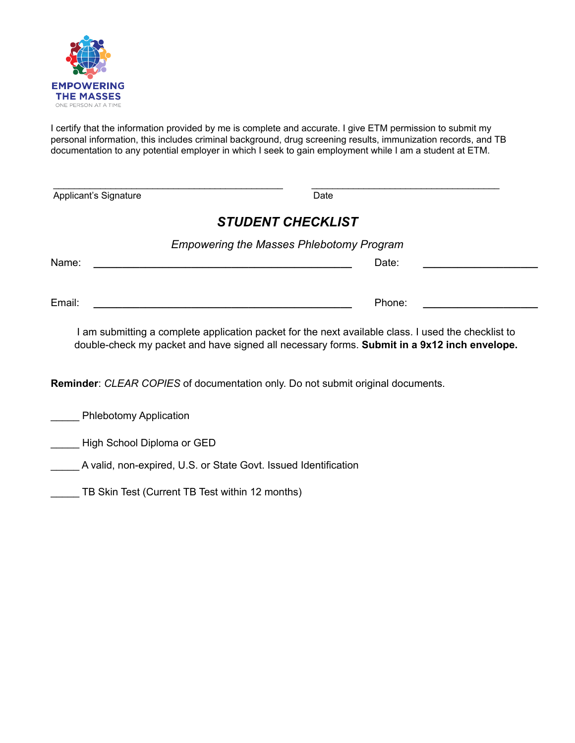

I certify that the information provided by me is complete and accurate. I give ETM permission to submit my personal information, this includes criminal background, drug screening results, immunization records, and TB documentation to any potential employer in which I seek to gain employment while I am a student at ETM.

 $\_$  ,  $\_$  ,  $\_$  ,  $\_$  ,  $\_$  ,  $\_$  ,  $\_$  ,  $\_$  ,  $\_$  ,  $\_$  ,  $\_$  ,  $\_$  ,  $\_$  ,  $\_$  ,  $\_$  ,  $\_$  ,  $\_$  ,  $\_$  ,  $\_$  ,  $\_$ 

| Applicant's Signature | Date |
|-----------------------|------|
|                       |      |

## *STUDENT CHECKLIST*

| <b>Empowering the Masses Phlebotomy Program</b> |        |  |  |
|-------------------------------------------------|--------|--|--|
| Name:                                           | Date:  |  |  |
|                                                 |        |  |  |
| Email:                                          | Phone: |  |  |

I am submitting a complete application packet for the next available class. I used the checklist to double-check my packet and have signed all necessary forms. **Submit in a 9x12 inch envelope.**

**Reminder**: *CLEAR COPIES* of documentation only. Do not submit original documents.

**EXECUTE:** Phlebotomy Application

**LETT** High School Diploma or GED

\_\_\_\_\_ A valid, non-expired, U.S. or State Govt. Issued Identification

TB Skin Test (Current TB Test within 12 months)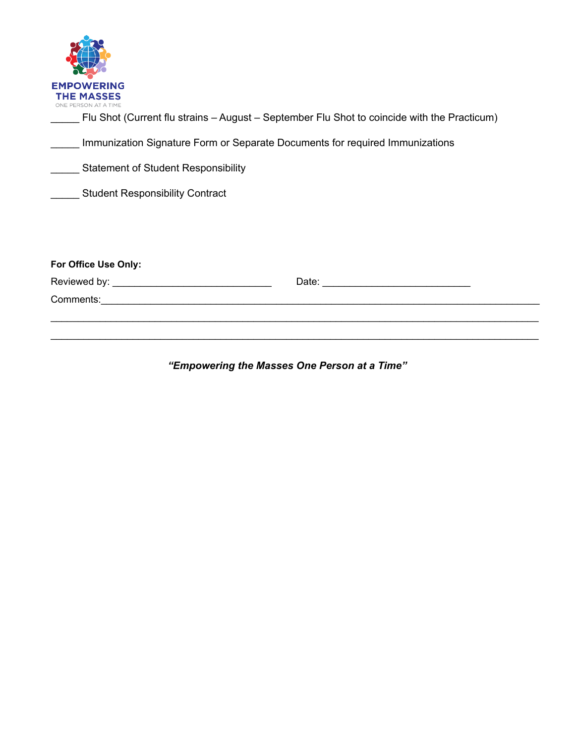| <b>EMPOWERING</b>    |
|----------------------|
| <b>THE MASSES</b>    |
| ONE PERSON AT A TIME |

\_\_\_\_\_ Flu Shot (Current flu strains – August – September Flu Shot to coincide with the Practicum)

\_\_\_\_\_ Immunization Signature Form or Separate Documents for required Immunizations

**EXECUTE:** Statement of Student Responsibility

**LETT** Student Responsibility Contract

| For Office Use Only: |       |
|----------------------|-------|
|                      | Date: |
| Comments:            |       |
|                      |       |

*"Empowering the Masses One Person at a Time"*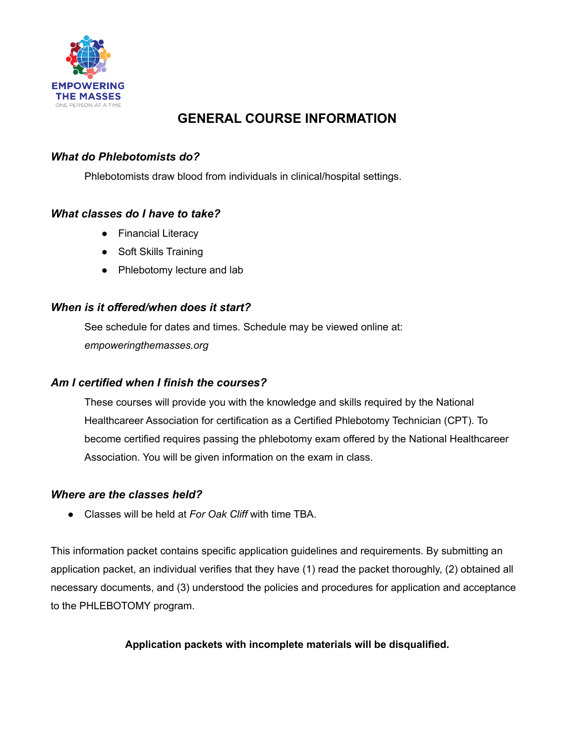

## **GENERAL COURSE INFORMATION**

## *What do Phlebotomists do?*

Phlebotomists draw blood from individuals in clinical/hospital settings.

## *What classes do I have to take?*

- Financial Literacy
- Soft Skills Training
- Phlebotomy lecture and lab

## *When is it offered/when does it start?*

See schedule for dates and times. Schedule may be viewed online at: *empoweringthemasses.org*

## *Am I certified when I finish the courses?*

These courses will provide you with the knowledge and skills required by the National Healthcareer Association for certification as a Certified Phlebotomy Technician (CPT). To become certified requires passing the phlebotomy exam offered by the National Healthcareer Association. You will be given information on the exam in class.

## *Where are the classes held?*

● Classes will be held at *For Oak Cliff* with time TBA.

This information packet contains specific application guidelines and requirements. By submitting an application packet, an individual verifies that they have (1) read the packet thoroughly, (2) obtained all necessary documents, and (3) understood the policies and procedures for application and acceptance to the PHLEBOTOMY program.

## **Application packets with incomplete materials will be disqualified.**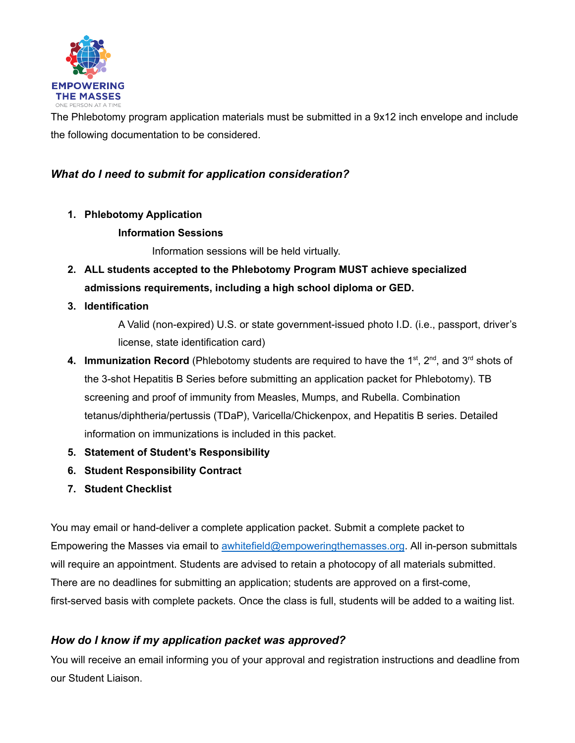

The Phlebotomy program application materials must be submitted in a 9x12 inch envelope and include the following documentation to be considered.

## *What do I need to submit for application consideration?*

**1. Phlebotomy Application**

## **Information Sessions**

Information sessions will be held virtually.

- **2. ALL students accepted to the Phlebotomy Program MUST achieve specialized admissions requirements, including a high school diploma or GED.**
- **3. Identification**

A Valid (non-expired) U.S. or state government-issued photo I.D. (i.e., passport, driver's license, state identification card)

- 4. Immunization Record (Phlebotomy students are required to have the 1<sup>st</sup>, 2<sup>nd</sup>, and 3<sup>rd</sup> shots of the 3-shot Hepatitis B Series before submitting an application packet for Phlebotomy). TB screening and proof of immunity from Measles, Mumps, and Rubella. Combination tetanus/diphtheria/pertussis (TDaP), Varicella/Chickenpox, and Hepatitis B series. Detailed information on immunizations is included in this packet.
- **5. Statement of Student's Responsibility**
- **6. Student Responsibility Contract**
- **7. Student Checklist**

You may email or hand-deliver a complete application packet. Submit a complete packet to Empowering the Masses via email to [awhitefield@empoweringthemasses.org](mailto:awhitefield@empoweringthemasses.org). All in-person submittals will require an appointment. Students are advised to retain a photocopy of all materials submitted. There are no deadlines for submitting an application; students are approved on a first-come, first-served basis with complete packets. Once the class is full, students will be added to a waiting list.

## *How do I know if my application packet was approved?*

You will receive an email informing you of your approval and registration instructions and deadline from our Student Liaison.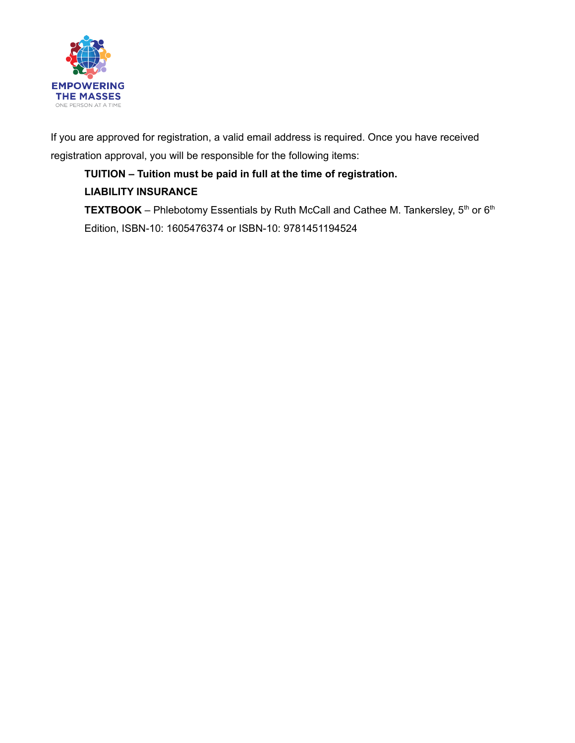

If you are approved for registration, a valid email address is required. Once you have received registration approval, you will be responsible for the following items:

**TUITION – Tuition must be paid in full at the time of registration. LIABILITY INSURANCE TEXTBOOK** – Phlebotomy Essentials by Ruth McCall and Cathee M. Tankersley,  $5<sup>th</sup>$  or  $6<sup>th</sup>$ Edition, ISBN-10: 1605476374 or ISBN-10: 9781451194524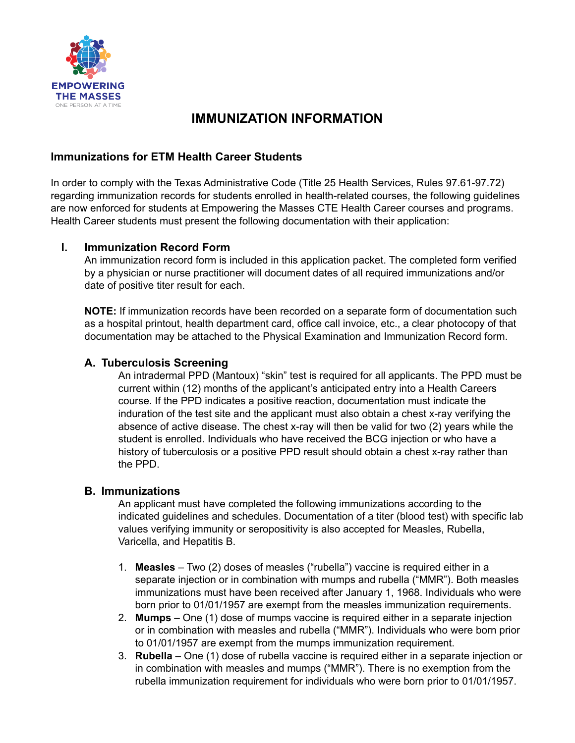

## **IMMUNIZATION INFORMATION**

## **Immunizations for ETM Health Career Students**

In order to comply with the Texas Administrative Code (Title 25 Health Services, Rules 97.61-97.72) regarding immunization records for students enrolled in health-related courses, the following guidelines are now enforced for students at Empowering the Masses CTE Health Career courses and programs. Health Career students must present the following documentation with their application:

## **I. Immunization Record Form**

An immunization record form is included in this application packet. The completed form verified by a physician or nurse practitioner will document dates of all required immunizations and/or date of positive titer result for each.

**NOTE:** If immunization records have been recorded on a separate form of documentation such as a hospital printout, health department card, office call invoice, etc., a clear photocopy of that documentation may be attached to the Physical Examination and Immunization Record form.

## **A. Tuberculosis Screening**

An intradermal PPD (Mantoux) "skin" test is required for all applicants. The PPD must be current within (12) months of the applicant's anticipated entry into a Health Careers course. If the PPD indicates a positive reaction, documentation must indicate the induration of the test site and the applicant must also obtain a chest x-ray verifying the absence of active disease. The chest x-ray will then be valid for two (2) years while the student is enrolled. Individuals who have received the BCG injection or who have a history of tuberculosis or a positive PPD result should obtain a chest x-ray rather than the PPD.

## **B. Immunizations**

An applicant must have completed the following immunizations according to the indicated guidelines and schedules. Documentation of a titer (blood test) with specific lab values verifying immunity or seropositivity is also accepted for Measles, Rubella, Varicella, and Hepatitis B.

- 1. **Measles** Two (2) doses of measles ("rubella") vaccine is required either in a separate injection or in combination with mumps and rubella ("MMR"). Both measles immunizations must have been received after January 1, 1968. Individuals who were born prior to 01/01/1957 are exempt from the measles immunization requirements.
- 2. **Mumps** One (1) dose of mumps vaccine is required either in a separate injection or in combination with measles and rubella ("MMR"). Individuals who were born prior to 01/01/1957 are exempt from the mumps immunization requirement.
- 3. **Rubella** One (1) dose of rubella vaccine is required either in a separate injection or in combination with measles and mumps ("MMR"). There is no exemption from the rubella immunization requirement for individuals who were born prior to 01/01/1957.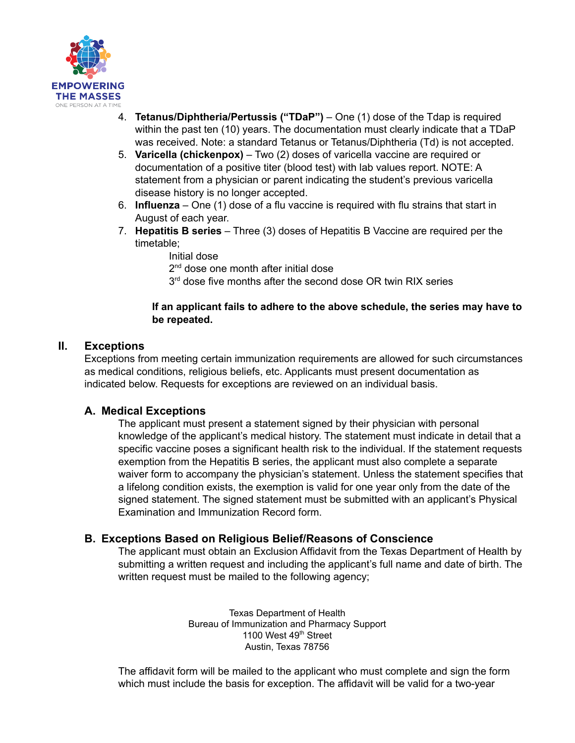

- 4. **Tetanus/Diphtheria/Pertussis ("TDaP")** One (1) dose of the Tdap is required within the past ten (10) years. The documentation must clearly indicate that a TDaP was received. Note: a standard Tetanus or Tetanus/Diphtheria (Td) is not accepted.
- 5. **Varicella (chickenpox)** Two (2) doses of varicella vaccine are required or documentation of a positive titer (blood test) with lab values report. NOTE: A statement from a physician or parent indicating the student's previous varicella disease history is no longer accepted.
- 6. **Influenza** One (1) dose of a flu vaccine is required with flu strains that start in August of each year.
- 7. **Hepatitis B series** Three (3) doses of Hepatitis B Vaccine are required per the timetable;
	- Initial dose

2<sup>nd</sup> dose one month after initial dose

3<sup>rd</sup> dose five months after the second dose OR twin RIX series

#### **If an applicant fails to adhere to the above schedule, the series may have to be repeated.**

## **II. Exceptions**

Exceptions from meeting certain immunization requirements are allowed for such circumstances as medical conditions, religious beliefs, etc. Applicants must present documentation as indicated below. Requests for exceptions are reviewed on an individual basis.

## **A. Medical Exceptions**

The applicant must present a statement signed by their physician with personal knowledge of the applicant's medical history. The statement must indicate in detail that a specific vaccine poses a significant health risk to the individual. If the statement requests exemption from the Hepatitis B series, the applicant must also complete a separate waiver form to accompany the physician's statement. Unless the statement specifies that a lifelong condition exists, the exemption is valid for one year only from the date of the signed statement. The signed statement must be submitted with an applicant's Physical Examination and Immunization Record form.

## **B. Exceptions Based on Religious Belief/Reasons of Conscience**

The applicant must obtain an Exclusion Affidavit from the Texas Department of Health by submitting a written request and including the applicant's full name and date of birth. The written request must be mailed to the following agency;

> Texas Department of Health Bureau of Immunization and Pharmacy Support 1100 West 49<sup>th</sup> Street Austin, Texas 78756

The affidavit form will be mailed to the applicant who must complete and sign the form which must include the basis for exception. The affidavit will be valid for a two-year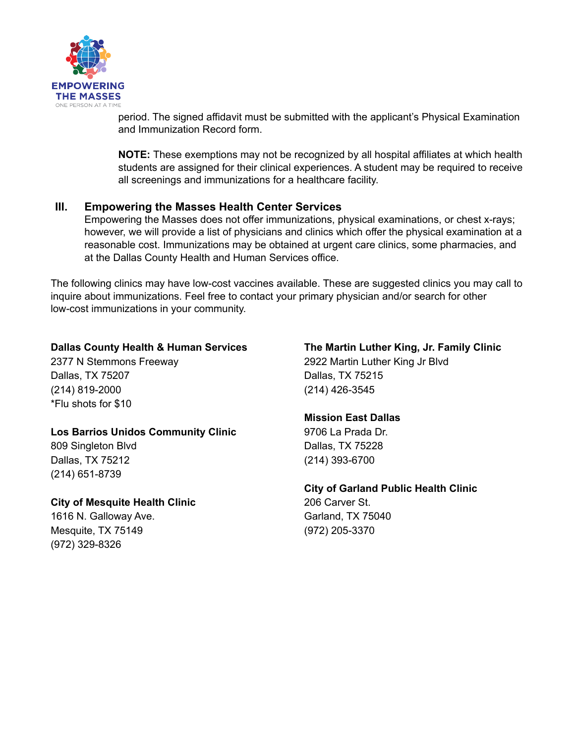

period. The signed affidavit must be submitted with the applicant's Physical Examination and Immunization Record form.

**NOTE:** These exemptions may not be recognized by all hospital affiliates at which health students are assigned for their clinical experiences. A student may be required to receive all screenings and immunizations for a healthcare facility.

## **III. Empowering the Masses Health Center Services**

Empowering the Masses does not offer immunizations, physical examinations, or chest x-rays; however, we will provide a list of physicians and clinics which offer the physical examination at a reasonable cost. Immunizations may be obtained at urgent care clinics, some pharmacies, and at the Dallas County Health and Human Services office.

The following clinics may have low-cost vaccines available. These are suggested clinics you may call to inquire about immunizations. Feel free to contact your primary physician and/or search for other low-cost immunizations in your community.

#### **Dallas County Health & Human Services**

2377 N Stemmons Freeway Dallas, TX 75207 (214) 819-2000 \*Flu shots for \$10

#### **Los Barrios Unidos Community Clinic**

809 Singleton Blvd Dallas, TX 75212 (214) 651-8739

## **City of Mesquite Health Clinic**

1616 N. Galloway Ave. Mesquite, TX 75149 (972) 329-8326

**The Martin Luther King, Jr. Family Clinic** 2922 Martin Luther King Jr Blvd Dallas, TX 75215 (214) 426-3545

#### **Mission East Dallas**

9706 La Prada Dr. Dallas, TX 75228 (214) 393-6700

**City of Garland Public Health Clinic** 206 Carver St. Garland, TX 75040 (972) 205-3370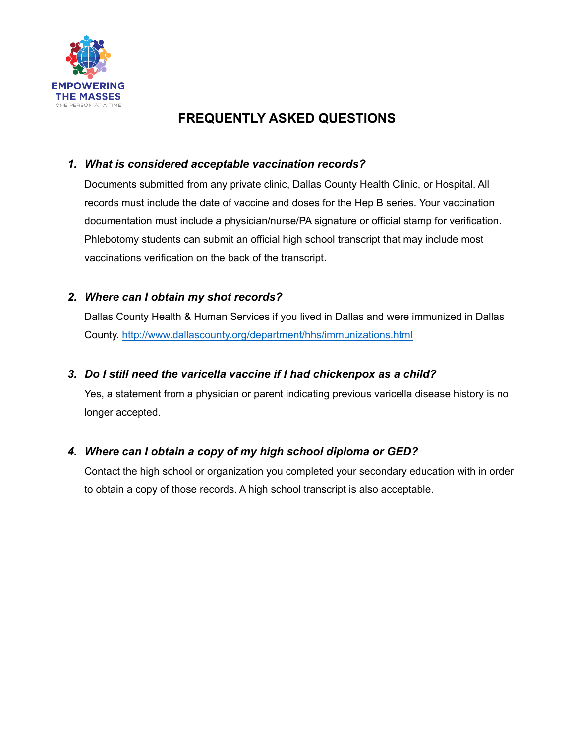

## **FREQUENTLY ASKED QUESTIONS**

## *1. What is considered acceptable vaccination records?*

Documents submitted from any private clinic, Dallas County Health Clinic, or Hospital. All records must include the date of vaccine and doses for the Hep B series. Your vaccination documentation must include a physician/nurse/PA signature or official stamp for verification. Phlebotomy students can submit an official high school transcript that may include most vaccinations verification on the back of the transcript.

## *2. Where can I obtain my shot records?*

Dallas County Health & Human Services if you lived in Dallas and were immunized in Dallas County. <http://www.dallascounty.org/department/hhs/immunizations.html>

## *3. Do I still need the varicella vaccine if I had chickenpox as a child?*

Yes, a statement from a physician or parent indicating previous varicella disease history is no longer accepted.

## *4. Where can I obtain a copy of my high school diploma or GED?*

Contact the high school or organization you completed your secondary education with in order to obtain a copy of those records. A high school transcript is also acceptable.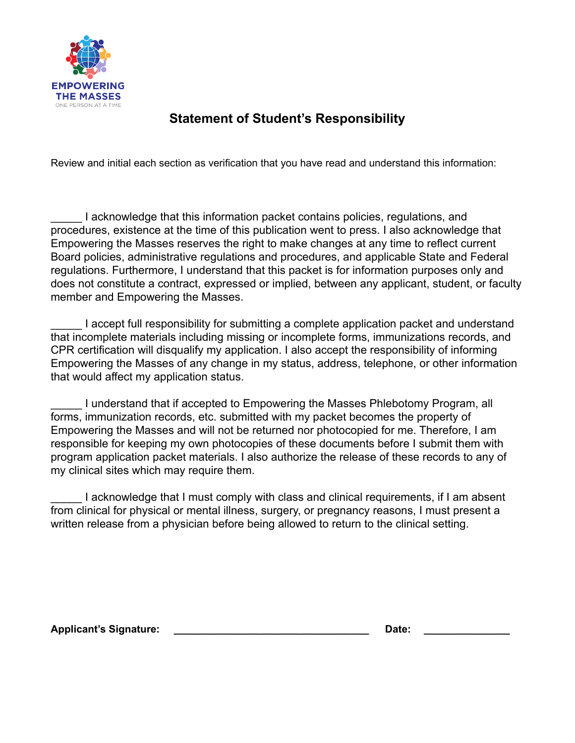

## **Statement of Student's Responsibility**

Review and initial each section as verification that you have read and understand this information:

I acknowledge that this information packet contains policies, regulations, and procedures, existence at the time of this publication went to press. I also acknowledge that Empowering the Masses reserves the right to make changes at any time to reflect current Board policies, administrative regulations and procedures, and applicable State and Federal regulations. Furthermore, I understand that this packet is for information purposes only and does not constitute a contract, expressed or implied, between any applicant, student, or faculty member and Empowering the Masses.

\_\_\_\_\_ I accept full responsibility for submitting a complete application packet and understand that incomplete materials including missing or incomplete forms, immunizations records, and CPR certification will disqualify my application. I also accept the responsibility of informing Empowering the Masses of any change in my status, address, telephone, or other information that would affect my application status.

\_\_\_\_\_ I understand that if accepted to Empowering the Masses Phlebotomy Program, all forms, immunization records, etc. submitted with my packet becomes the property of Empowering the Masses and will not be returned nor photocopied for me. Therefore, I am responsible for keeping my own photocopies of these documents before I submit them with program application packet materials. I also authorize the release of these records to any of my clinical sites which may require them.

I acknowledge that I must comply with class and clinical requirements, if I am absent from clinical for physical or mental illness, surgery, or pregnancy reasons, I must present a written release from a physician before being allowed to return to the clinical setting.

**Applicant's Signature: \_\_\_\_\_\_\_\_\_\_\_\_\_\_\_\_\_\_\_\_\_\_\_\_\_\_\_\_\_\_\_\_\_\_ Date: \_\_\_\_\_\_\_\_\_\_\_\_\_\_\_**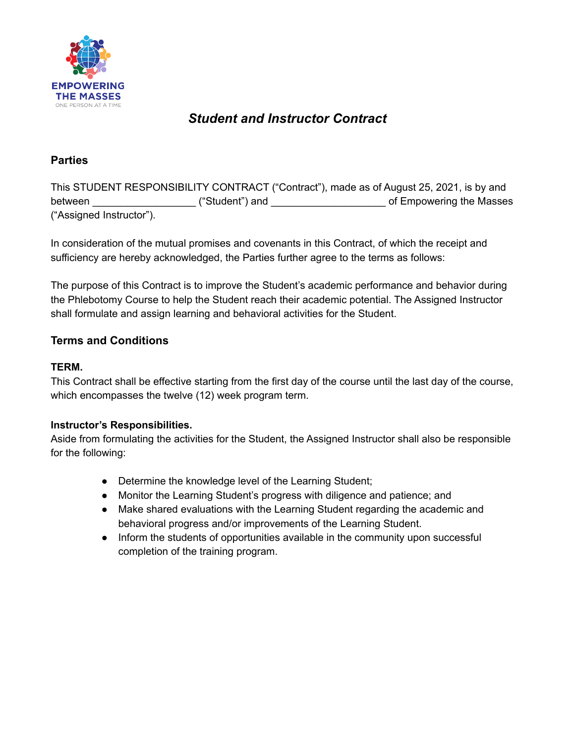

## *Student and Instructor Contract*

## **Parties**

This STUDENT RESPONSIBILITY CONTRACT ("Contract"), made as of August 25, 2021, is by and between \_\_\_\_\_\_\_\_\_\_\_\_\_\_\_\_\_\_ ("Student") and \_\_\_\_\_\_\_\_\_\_\_\_\_\_\_\_\_\_\_\_ of Empowering the Masses ("Assigned Instructor").

In consideration of the mutual promises and covenants in this Contract, of which the receipt and sufficiency are hereby acknowledged, the Parties further agree to the terms as follows:

The purpose of this Contract is to improve the Student's academic performance and behavior during the Phlebotomy Course to help the Student reach their academic potential. The Assigned Instructor shall formulate and assign learning and behavioral activities for the Student.

## **Terms and Conditions**

## **TERM.**

This Contract shall be effective starting from the first day of the course until the last day of the course, which encompasses the twelve (12) week program term.

## **Instructor's Responsibilities.**

Aside from formulating the activities for the Student, the Assigned Instructor shall also be responsible for the following:

- Determine the knowledge level of the Learning Student;
- Monitor the Learning Student's progress with diligence and patience; and
- Make shared evaluations with the Learning Student regarding the academic and behavioral progress and/or improvements of the Learning Student.
- Inform the students of opportunities available in the community upon successful completion of the training program.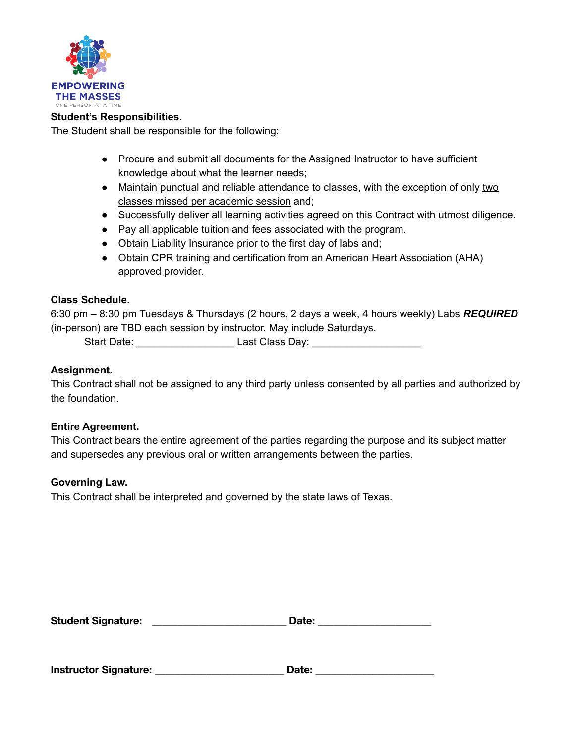

#### **Student's Responsibilities.**

The Student shall be responsible for the following:

- Procure and submit all documents for the Assigned Instructor to have sufficient knowledge about what the learner needs;
- Maintain punctual and reliable attendance to classes, with the exception of only two classes missed per academic session and;
- Successfully deliver all learning activities agreed on this Contract with utmost diligence.
- Pay all applicable tuition and fees associated with the program.
- Obtain Liability Insurance prior to the first day of labs and;
- Obtain CPR training and certification from an American Heart Association (AHA) approved provider.

#### **Class Schedule.**

6:30 pm – 8:30 pm Tuesdays & Thursdays (2 hours, 2 days a week, 4 hours weekly) Labs *REQUIRED* (in-person) are TBD each session by instructor. May include Saturdays.

Start Date: \_\_\_\_\_\_\_\_\_\_\_\_\_\_\_\_\_ Last Class Day: \_\_\_\_\_\_\_\_\_\_\_\_\_\_\_\_\_\_\_

#### **Assignment.**

This Contract shall not be assigned to any third party unless consented by all parties and authorized by the foundation.

#### **Entire Agreement.**

This Contract bears the entire agreement of the parties regarding the purpose and its subject matter and supersedes any previous oral or written arrangements between the parties.

#### **Governing Law.**

This Contract shall be interpreted and governed by the state laws of Texas.

| <b>Student Signature:</b> | Date: |  |
|---------------------------|-------|--|
|                           |       |  |

**Instructor Signature: \_\_\_\_\_\_\_\_\_\_\_\_\_\_\_\_\_\_\_\_\_\_\_\_\_ Date: \_\_\_\_\_\_\_\_\_\_\_\_\_\_\_\_\_\_\_\_\_\_\_**